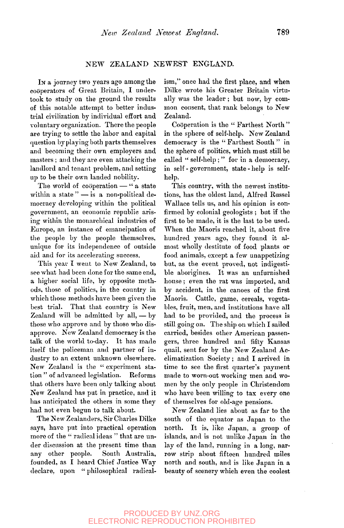## NEW ZEALAND NEWEST ENGLAND.

In a journey two years ago among the cooperators of Great Britain, I undertook to study on the ground the results of this notable attempt to better industrial civilization by individual effort and voluntary organization. There the people are trying to settle the labor and capital question by playing both parts themselves and becoming their own employers and masters ; and they are even attacking the landlord and tenant problem, and setting up to be their own landed nobility.

The world of cooperation — " a state within a state " - is a non-political democracy developing within the political government, an economic republic arising within the monarchical industries of Europe, an instance of emancipation of the people by the people themselves, unique for its independence of outside aid and for its accelerating success.

This year I went to New Zealand, to see what had been done for the same end, a higher social life, by opposite methods, those of politics, in the country in which those methods have been given the best trial. That that country is New Zealand will be admitted by all, — by those who approve and by those who disapprove. New Zealand democracy is the talk of the world to-day. It has made itself the policeman and partner of industry to an extent unknown elsewhere. New Zealand is the "experiment station " of advanced legislation. Reforms that others have been only talking about New Zealand has put in practice, and it has anticipated the others in some they had not even begun to talk about.

The New Zealanders, Sir Charles Dilke says, have put into practical operation more of the " radical ideas " that are under discussion at the present time than any other people. South Australia, founded, as I heard Chief Justice Way declare, upon " philosophical radicalism," once had the first place, and when Dilke wrote his Greater Britain virtually was the leader; but now, by common consent, that rank belongs to New Zealand.

Cooperation is the " Farthest North " in the sphere of self-help. New Zealand democracy is the "Farthest South" in the sphere of politics, which must still be called " self-help ; " for in a democracy, in self - government, state - help is selfhelp.

This country, with the newest institutions, has the oldest land, Alfred Russel Wallace tells us, and his opinion is confirmed by colonial geologists ; but if the first to be made, it is the last to be used. When the Maoris reached it, about five hundred years ago, they found it almost wholly destitute of food plants or food animals, except a few unappetizing but, as the event proved, not indigestible aborigines. It was an unfurnished house; even the rat was imported, and by accident, in the canoes of the first Maoris. Cattle, game, cereals, vegetables, fruit, men, and institutions have all had to be provided, and the process is still going on. The ship on which I sailed carried, besides other American passengers, three hundred and fifty Kansas quail, sent for by the New Zealand Acclimatization Society; and I arrived in time to see the first quarter's payment made to worn-out working men and women by the only people in Christendom who have been willing to tax every one of themselves for old-age pensions.

New Zealand lies about as far to the south of the equator as Japan to the north. It is, like Japan, a group of islands, and is not unlike Japan in the lay of the land, running in a long, narrow strip about fifteen hundred miles north and south, and is like Japan in a beauty of scenery which even the coolest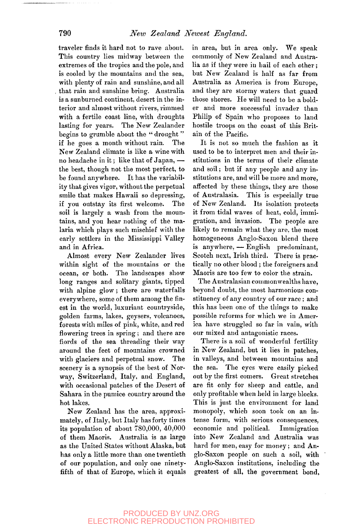traveler finds it hard not to rave about. This country lies midway between the extremes of the tropics and the pole, and is cooled by the mountains and the sea, with plenty of rain and sunshine, and all that rain and sunshine bring. Australia is a sunburned continent, desert in the interior and almost without rivers, rimmed with a fertile coast line, with droughts lasting for years. The New Zealander begins to grumble about the " drought " if he goes a month without rain. The New Zealand climate is like a wine with no headache in it; like that of Japan, the best, though not the most perfect, to be found anywhere. It has the variability that gives vigor, without the perpetual smile that makes Hawaii so depressing, if you outstay its first welcome. The soil is largely a wash from the mountains, and you hear nothing of the malaria which plays such mischief with the early settlers in the Mississippi Valley and in Africa.

Almost every New Zealander lives within sight of the mountains or the ocean, or both. The landscapes show long ranges and solitary giants, tipped with alpine glow ; there are waterfalls everywhere, some of them among the finest in the world, luxuriant countryside, golden farms, lakes, geysers, volcanoes, forests with miles of pink, white, and red flowering trees in spring; and there are fiords of the sea threading their way around the feet of mountains crowned with glaciers and perpetual snow. The scenery is a synopsis of the best of Norway, Switzerland, Italy, and England, with occasional patches of the Desert of Sahara in the pumice country around the hot lakes.

New Zealand has the area, approximately, of Italy, but Italy has forty times its population of about 780,000, 40,000 of them Maoris. Australia is as large as the United States without Alaska, but has only a little more than one twentieth of our population, and only one ninetyfifth of that of Europe, which it equals in area, but in area only. We speak commonly of New Zealand and Australia as if they were in hail of each other; but New Zealand is half as far from Australia as America is from Europe, and they are stormy waters that guard those shores. He will need to be a bolder and more successful invader than Philip of Spain who proposes to land hostile troops on the coast of this Britain of the Pacific.

It is not so much the fashion as it used to be to interpret men and their institutions in the terms of their climate and soil; but if any people and any institutions are, and will be more and more, affected by these things, they are those of Australasia. This is especially true of New Zealand. Its isolation protects it from tidal waves of heat, cold, immigration, and invasion. The people are likely to remain what they are, the most homogeneous Anglo-Saxon blend there is anywhere, — English predominant, Scotch next, Irish third. There is practically no other blood ; the foreigners and Maoris are too few to color the strain.

The Australasian commonwealths have. beyond doubt, the most harmonious constituency of any country of our race; and this has been one of the things to make possible reforms for which we in America have struggled so far in vain, with our mixed and antagonistic races.

There is a soil of wonderful fertility in New Zealand, but it lies in patches, in valleys, and between mountains and the sea. The eyes were easily picked out by the first comers. Great stretches are fit only for sheep and cattle, and only profitable when held in large blocks. This is just the environment for land monopoly, which soon took on an intense form, with serious consequences, economic and political. Immigration into New Zealand and Australia was hard for men, easy for money; and Anglo-Saxon people on such a soil, with Anglo-Saxon institutions, including the greatest of all, the government bond,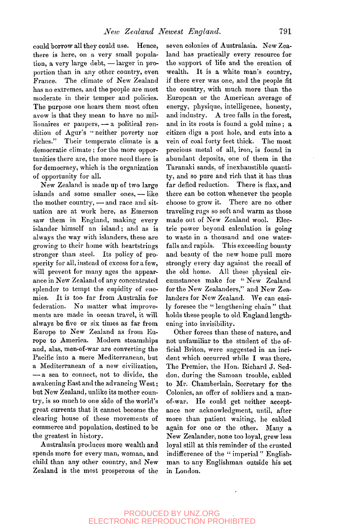could borrow all they could use. Hence, there is here, on a very small population, a very large debt, —larger in proportion than in any other country, even France. The climate of New Zealand has no extremes, and the people are most moderate in their temper and policies. The purpose one hears them most often avow is that they mean to have no millionaires or paupers, — a political rendition of Agur's '• neither poverty nor riches." Their temperate climate is a democratic climate ; for the more opportunities there are, the more need there is for democracy, which is the organization of opportunity for all.

New Zealand is made up of two large islands and some smaller ones, — like the mother country, — and race and situation are at work here, as Emerson saw them in England, making every islander himself an island; and as is always the way with islanders, these are growing to their home with heartstrings stronger than steel. Its policy of prosperity for all, instead of excess for a few, will prevent for many ages the appearance in New Zealand of any concentrated splendor to tempt the cupidity of enemies. It is too far from Australia for federation. No matter what improvements are made in ocean travel, it will always be five or six times as far from Europe to New Zealand as from Europe to America. Modern steamships and, alas, men-of-war are converting the Pacific into a mere Mediterranean, but a Mediterranean of a new civilization, — a sea to connect, not to divide, the awakening East and the advancing West; but New Zealand, unlike its mother country, is so much to one side of the world's great currents that it cannot become the clearing house of these movements of commerce and population, destined to be the greatest in history.

Australasia produces more wealth and spends more for every man, woman, and child than any other country, and New Zealand is the most prosperous of the

seven colonies of Australasia. New Zealand has practically every resource for the support of life and the creation of wealth. It is a white man's country, if there ever was one, and the people fit the country, with much more than the European or the American average of energy, physique, intelligence, honesty, and industry. A tree falls in the forest, and in its roots is found a gold mine; a citizen digs a post hole, and cuts into a vein of coal forty feet thick. The most precious metal of all, iron, is found in abundant deposits, one of them in the Taranaki sands, of inexhaustible quantity, and so pure and rich that it has thus far defied reduction. There is flax, and there can be cotton whenever the people choose to grow it. There are no other traveling rugs so soft and warm as those made out of New Zealand wool. Electric power beyond calculation is going to waste in a thousand and one waterfalls and rapids. This exceeding bounty and beauty of the new home pull more strongly every day against the recall of the old home. All these physical circumstances make for " New Zealand for the New Zealanders," and New Zealanders *conducts*, and rew Zea- $\mu$  fanders for ivew *Leafand*. We can easily foresee the "lengthening chain" that holds these people to old England length-<br>ening into invisibility.

Other forces than these of nature, and not unfamiliar to the student of the official Briton, were suggested in an incident which occurred while I was there. The Premier, the Hon. Richard J. Seddon, during the Samoan trouble, cabled to Mr. Chamberlain, Secretary for the Colonies, an offer of soldiers and a manof-war. He could get neither acceptance nor acknowledgment, until, after more than patient waiting, he cabled again for one or the other. Many a New Zealander, none too loyal, grew less loyal still at this reminder of the crusted indifference of the "imperial" Englishman to any Englishman outside his set in London.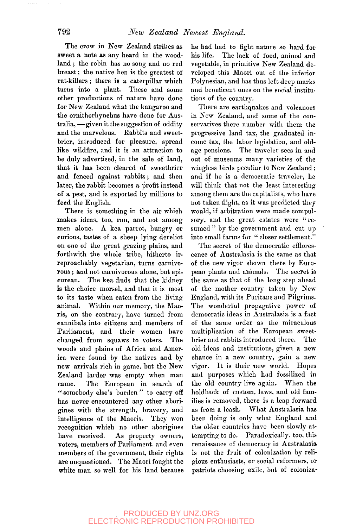The crow in New Zealand strikes as sweet a note as any heard in the woodland ; the robin has no song and no red breast; the native hen is the greatest of rat-killers ; there is a caterpillar which turns into a plant. These and some other productions of nature have done for New Zealand what the kangaroo and the ornithorhynchus have done for Australia, — given it the suggestion of oddity and the marvelous. Rabbits and sweetbrier, introduced for pleasure, spread like wildfire, and it is an attraction to be duly advertised, in the sale of land, that it has been cleared of sweetbrier and fenced against rabbits; and then later, the rabbit becomes a profit instead of a pest, and is exported by millions to feed the English.

There is something in the air which makes ideas, too, run, and not among men alone. A kea parrot, hungry or curious, tastes of a sheep lying derelict on one of the great grazing plains, and forthwith the whole tribe, hitherto irreproachably vegetarian, turns carnivorous ; and not carnivorous alone, but epicurean. The kea finds that the kidney is the choice morsel, and that it is most to its taste when eaten from the living animal. Within our memory, the Maoris, on the contrary, have turned from cannibals into citizens and members of Parliament, and their women have changed from squaws to voters. The woods and plains of Africa and America were found by the natives and by new arrivals rich in game, but the New Zealand larder was empty when man came. The European in search of "somebody else's burden " to carry off has never encountered any other aborigines with the strength, bravery, and intelligence of the Maoris. They won recognition which no other aborigines have received. As property owners, voters, members of Parliament, and even members of the government, their rights are unquestioned. The Maori fought the white man so well for his land because

he had had to fight nature so hard for his life. The lack of food, animal and vegetable, in primitive New Zealand developed this Maori out of the inferior Polynesian, and has thus left deep marks and beneficent ones on the social institutions of the country.

There are earthquakes and volcanoes in New Zealand, and some of the conservatives there number with them the progressive land tax, the graduated income tax, the labor legislation, and oldage pensions. The traveler sees in and out of museums many varieties of the wingless birds peculiar to New Zealand ; and if he is a democratic traveler, he will think that not the least interesting among them are the capitalists, who have not taken flight, as it was predicted they would, if arbitration were made compulsory, and the great estates were "resumed" by the government and cut up into small farms for " closer settlement."

The secret of the democratic efflorescence of Australasia is the same as that of the new vigor shown there by European plants and animals. The secret is the same as that of the long step ahead of the mother country taken by New England, with its Puritans and Pilgrims. The wonderful propagative power of democratic ideas in Australasia is a fact of the same order as the miraculous multiplication of the European sweetbrier and rabbits introduced there. The old ideas and institutions, given a new chance in a new country, gain a new vigor. It is their new world. Hopes and purposes which had fossilized in the old country live again. When the holdback of custom, laws, and old families is removed, there is a leap forward as from a leash. What Australasia has been doing is only what England and the older countries have been slowly attempting to do. Paradoxically, too, this renaissance of democracy in Australasia is not the fruit of colonization by religious enthusiasts, or social reformers, or patriots choosing exile, but of coloniza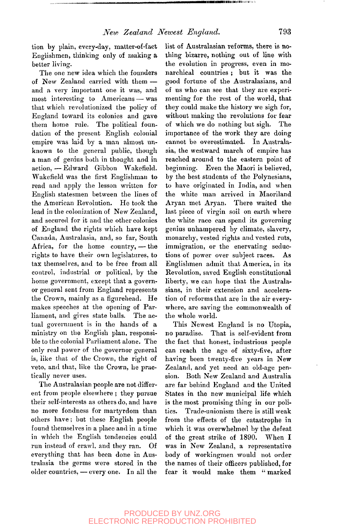tion by plain, every-day, matter-of-fact Englishmen, thinking only of making a better living.

The one new idea which the founders of New Zealand carried with them and a very important one it was, and most interesting to Americans — was that which revolutionized the policy of England toward its colonies and gave them home rule. The political foundation of the present English colonial empire was laid by a man almost unknown to the general public, though a man of genius both in thought and in action, — Edward Gibbon Wakefield. Wakefield was the first Englishman to read and apply the lesson written for English statesmen between the lines of the American Revolution. He took the lead in the colonization of New Zealand, and secured for it and the other colonies of England the rights which have kept Canada, Australasia, and, so far. South Africa, for the home country, — the rights to have their own legislatures, to tax themselves, and to be free from all control, industrial or political, by the home government, except that a governor general sent from England represents the Crown, mainly as a figurehead. He makes speeches at the opening of Parliament, and gives state balls. The actual government is in the hands of a ministry on the English plan, responsible to the colonial Parliament alone. The only real power of the governor general is, like that of the Crown, the right of veto, and that, like the Crown, he practically never uses.

The Australasian people are not different from people elsewhere ; they pursue their self-interests as others do, and have no more fondness for martyrdom than others have; but these English people found themselves in a place and in a time in which the English tendencies could run instead of crawl, and they ran. Of everything that has been done in Australasia the germs were stored in the older countries, — every one. In all the

list of Australasian reforms, there is nothing bizarre, nothing out of line with the evolution in progress, even in monarchical countries ; but it was the good fortune of the Australasians, and of us who can see that they are experimenting for the rest of the world, that they could make the history we sigh for, without making the revolutions for fear of which we do nothing but sigh. The importance of the work they are doing cannot be overestimated. In Australasia, the westward march of empire has reached around to the eastern point of beginning. Even the Maori is believed, by the best students of the Polynesians, to have originated in India, and when the white man arrived in Maoriland Aryan met Aryan. There waited the last piece of virgin soil on earth where the white race can spend its governing genius unhampered by climate, slavery, monarchy, vested rights and vested ruts, immigration, or the enervating seductions of power over subject races. As Englishmen admit that America, in its Revolution, saved English constitutional liberty, we can hope that the Australasians, in their extension and acceleration of reforms that are in the air everywhere, are saving the commonwealth of the whole world.

This Newest England is no Utopia, no paradise. That is self-evident from the fact that honest, industrious people can reach the age of sixty-five, after having been twenty-five years in New Zealand, and yet need an old-age pension. Both New Zealand and Australia are far behind England and the United States in the new municipal life which is the most promising thing in our politics. Trade-unionism there is still weak from the effects of the catastrophe in which it was overwhelmed by the defeat of the great strike of 1890. When I was in New Zealand, a representative body of workingmen would not order the names of their officers published, for fear it would make them " marked